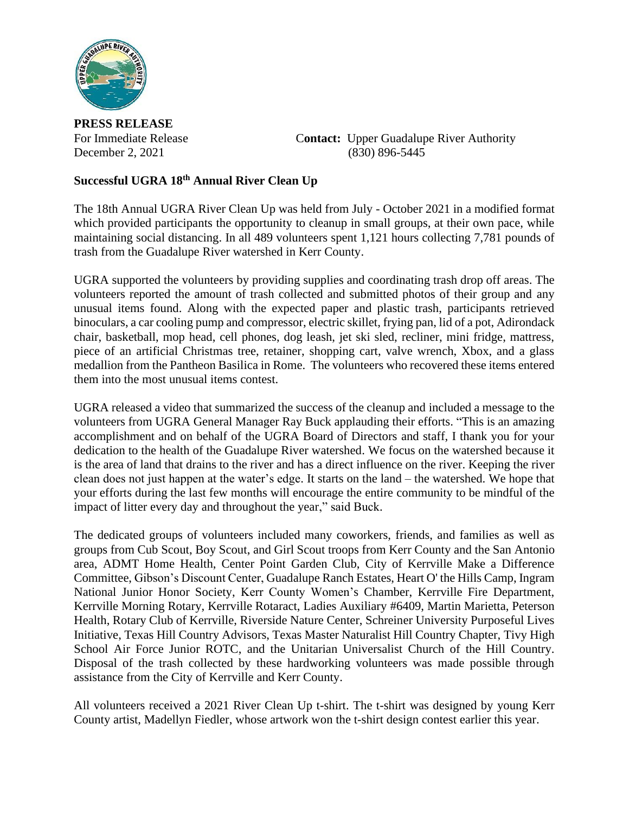

**PRESS RELEASE**

For Immediate Release C**ontact:** Upper Guadalupe River Authority December 2, 2021 (830) 896-5445

## **Successful UGRA 18th Annual River Clean Up**

The 18th Annual UGRA River Clean Up was held from July - October 2021 in a modified format which provided participants the opportunity to cleanup in small groups, at their own pace, while maintaining social distancing. In all 489 volunteers spent 1,121 hours collecting 7,781 pounds of trash from the Guadalupe River watershed in Kerr County.

UGRA supported the volunteers by providing supplies and coordinating trash drop off areas. The volunteers reported the amount of trash collected and submitted photos of their group and any unusual items found. Along with the expected paper and plastic trash, participants retrieved binoculars, a car cooling pump and compressor, electric skillet, frying pan, lid of a pot, Adirondack chair, basketball, mop head, cell phones, dog leash, jet ski sled, recliner, mini fridge, mattress, piece of an artificial Christmas tree, retainer, shopping cart, valve wrench, Xbox, and a glass medallion from the Pantheon Basilica in Rome. The volunteers who recovered these items entered them into the most unusual items contest.

UGRA released a video that summarized the success of the cleanup and included a message to the volunteers from UGRA General Manager Ray Buck applauding their efforts. "This is an amazing accomplishment and on behalf of the UGRA Board of Directors and staff, I thank you for your dedication to the health of the Guadalupe River watershed. We focus on the watershed because it is the area of land that drains to the river and has a direct influence on the river. Keeping the river clean does not just happen at the water's edge. It starts on the land – the watershed. We hope that your efforts during the last few months will encourage the entire community to be mindful of the impact of litter every day and throughout the year," said Buck.

The dedicated groups of volunteers included many coworkers, friends, and families as well as groups from Cub Scout, Boy Scout, and Girl Scout troops from Kerr County and the San Antonio area, ADMT Home Health, Center Point Garden Club, City of Kerrville Make a Difference Committee, Gibson's Discount Center, Guadalupe Ranch Estates, Heart O' the Hills Camp, Ingram National Junior Honor Society, Kerr County Women's Chamber, Kerrville Fire Department, Kerrville Morning Rotary, Kerrville Rotaract, Ladies Auxiliary #6409, Martin Marietta, Peterson Health, Rotary Club of Kerrville, Riverside Nature Center, Schreiner University Purposeful Lives Initiative, Texas Hill Country Advisors, Texas Master Naturalist Hill Country Chapter, Tivy High School Air Force Junior ROTC, and the Unitarian Universalist Church of the Hill Country. Disposal of the trash collected by these hardworking volunteers was made possible through assistance from the City of Kerrville and Kerr County.

All volunteers received a 2021 River Clean Up t-shirt. The t-shirt was designed by young Kerr County artist, Madellyn Fiedler, whose artwork won the t-shirt design contest earlier this year.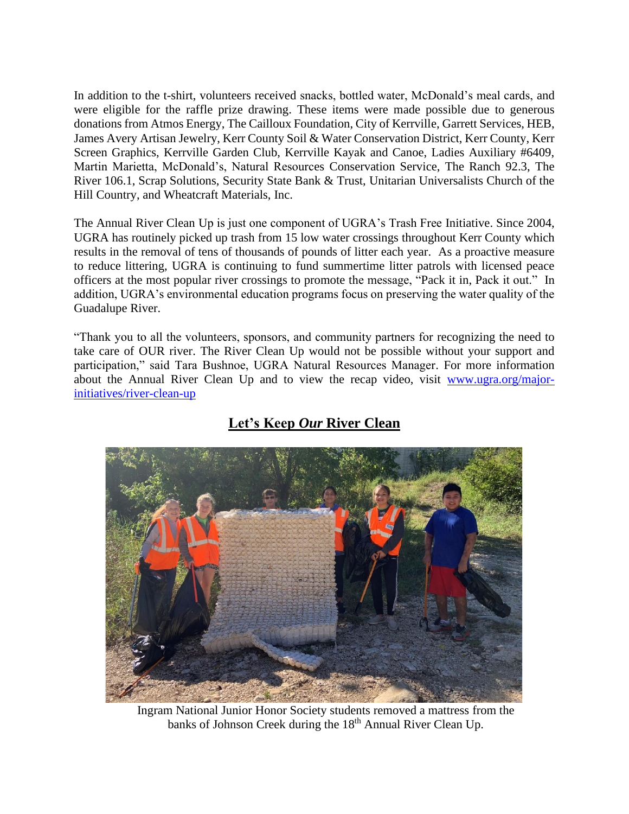In addition to the t-shirt, volunteers received snacks, bottled water, McDonald's meal cards, and were eligible for the raffle prize drawing. These items were made possible due to generous donations from Atmos Energy, The Cailloux Foundation, City of Kerrville, Garrett Services, HEB, James Avery Artisan Jewelry, Kerr County Soil & Water Conservation District, Kerr County, Kerr Screen Graphics, Kerrville Garden Club, Kerrville Kayak and Canoe, Ladies Auxiliary #6409, Martin Marietta, McDonald's, Natural Resources Conservation Service, The Ranch 92.3, The River 106.1, Scrap Solutions, Security State Bank & Trust, Unitarian Universalists Church of the Hill Country, and Wheatcraft Materials, Inc.

The Annual River Clean Up is just one component of UGRA's Trash Free Initiative. Since 2004, UGRA has routinely picked up trash from 15 low water crossings throughout Kerr County which results in the removal of tens of thousands of pounds of litter each year. As a proactive measure to reduce littering, UGRA is continuing to fund summertime litter patrols with licensed peace officers at the most popular river crossings to promote the message, "Pack it in, Pack it out." In addition, UGRA's environmental education programs focus on preserving the water quality of the Guadalupe River.

"Thank you to all the volunteers, sponsors, and community partners for recognizing the need to take care of OUR river. The River Clean Up would not be possible without your support and participation," said Tara Bushnoe, UGRA Natural Resources Manager. For more information about the Annual River Clean Up and to view the recap video, visit [www.ugra.org/major](http://www.ugra.org/major-initiatives/river-clean-up)[initiatives/river-clean-up](http://www.ugra.org/major-initiatives/river-clean-up)



## **Let's Keep** *Our* **River Clean**

Ingram National Junior Honor Society students removed a mattress from the banks of Johnson Creek during the 18<sup>th</sup> Annual River Clean Up.